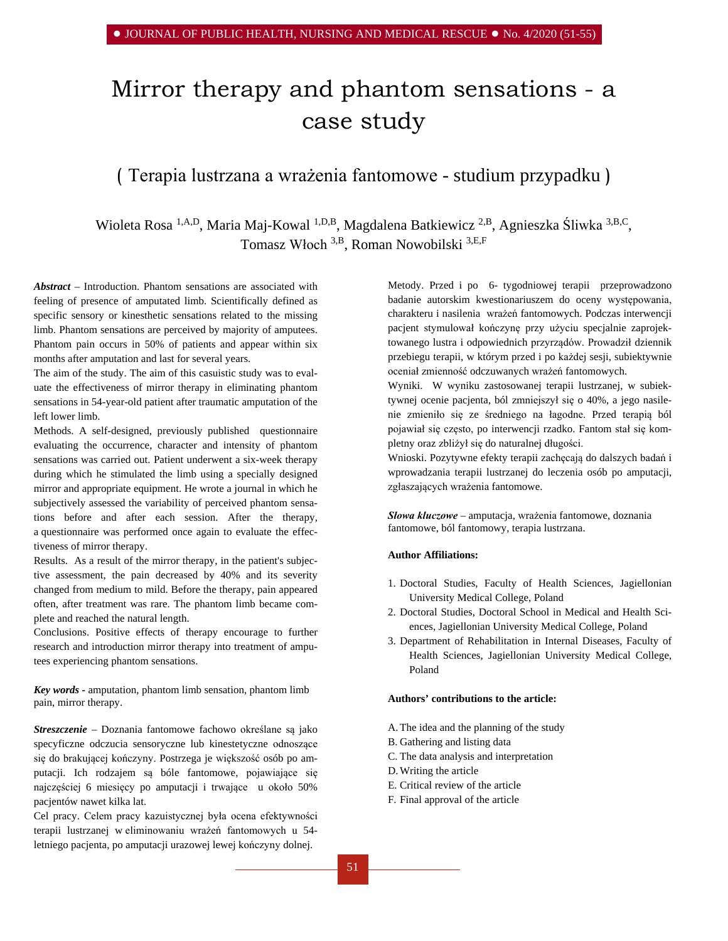# Mirror therapy and phantom sensations - a case study

## ( Terapia lustrzana a wrażenia fantomowe - studium przypadku )

Wioleta Rosa<sup>1,A,D</sup>, Maria Maj-Kowal<sup>1,D,B</sup>, Magdalena Batkiewicz<sup>2,B</sup>, Agnieszka Śliwka<sup>3,B,C</sup>, Tomasz Włoch 3,B, Roman Nowobilski 3,E,F

*Abstract –* Introduction. Phantom sensations are associated with feeling of presence of amputated limb. Scientifically defined as specific sensory or kinesthetic sensations related to the missing limb. Phantom sensations are perceived by majority of amputees. Phantom pain occurs in 50% of patients and appear within six months after amputation and last for several years.

The aim of the study. The aim of this casuistic study was to evaluate the effectiveness of mirror therapy in eliminating phantom sensations in 54-year-old patient after traumatic amputation of the left lower limb.

Methods. A self-designed, previously published questionnaire evaluating the occurrence, character and intensity of phantom sensations was carried out. Patient underwent a six-week therapy during which he stimulated the limb using a specially designed mirror and appropriate equipment. He wrote a journal in which he subjectively assessed the variability of perceived phantom sensations before and after each session. After the therapy, a questionnaire was performed once again to evaluate the effectiveness of mirror therapy.

Results. As a result of the mirror therapy, in the patient's subjective assessment, the pain decreased by 40% and its severity changed from medium to mild. Before the therapy, pain appeared often, after treatment was rare. The phantom limb became complete and reached the natural length.

Conclusions. Positive effects of therapy encourage to further research and introduction mirror therapy into treatment of amputees experiencing phantom sensations.

*Key words -* amputation, phantom limb sensation, phantom limb pain, mirror therapy.

*Streszczenie –* Doznania fantomowe fachowo określane są jako specyficzne odczucia sensoryczne lub kinestetyczne odnoszące się do brakującej kończyny. Postrzega je większość osób po amputacji. Ich rodzajem są bóle fantomowe, pojawiające się najczęściej 6 miesięcy po amputacji i trwające u około 50% pacjentów nawet kilka lat.

Cel pracy. Celem pracy kazuistycznej była ocena efektywności terapii lustrzanej w eliminowaniu wrażeń fantomowych u 54 letniego pacjenta, po amputacji urazowej lewej kończyny dolnej.

Metody. Przed i po 6- tygodniowej terapii przeprowadzono badanie autorskim kwestionariuszem do oceny występowania, charakteru i nasilenia wrażeń fantomowych. Podczas interwencji pacjent stymulował kończynę przy użyciu specjalnie zaprojektowanego lustra i odpowiednich przyrządów. Prowadził dziennik przebiegu terapii, w którym przed i po każdej sesji, subiektywnie oceniał zmienność odczuwanych wrażeń fantomowych.

Wyniki. W wyniku zastosowanej terapii lustrzanej, w subiektywnej ocenie pacjenta, ból zmniejszył się o 40%, a jego nasilenie zmieniło się ze średniego na łagodne. Przed terapią ból pojawiał się często, po interwencji rzadko. Fantom stał się kompletny oraz zbliżył się do naturalnej długości.

Wnioski. Pozytywne efekty terapii zachęcają do dalszych badań i wprowadzania terapii lustrzanej do leczenia osób po amputacji, zgłaszających wrażenia fantomowe.

*Słowa kluczowe –* amputacja, wrażenia fantomowe, doznania fantomowe, ból fantomowy, terapia lustrzana.

## **Author Affiliations:**

- 1. Doctoral Studies, Faculty of Health Sciences, Jagiellonian University Medical College, Poland
- 2. Doctoral Studies, Doctoral School in Medical and Health Sciences, Jagiellonian University Medical College, Poland
- 3. Department of Rehabilitation in Internal Diseases, Faculty of Health Sciences, Jagiellonian University Medical College, Poland

#### **Authors' contributions to the article:**

- A.The idea and the planning of the study
- B. Gathering and listing data
- C. The data analysis and interpretation
- D.Writing the article
- E. Critical review of the article
- F. Final approval of the article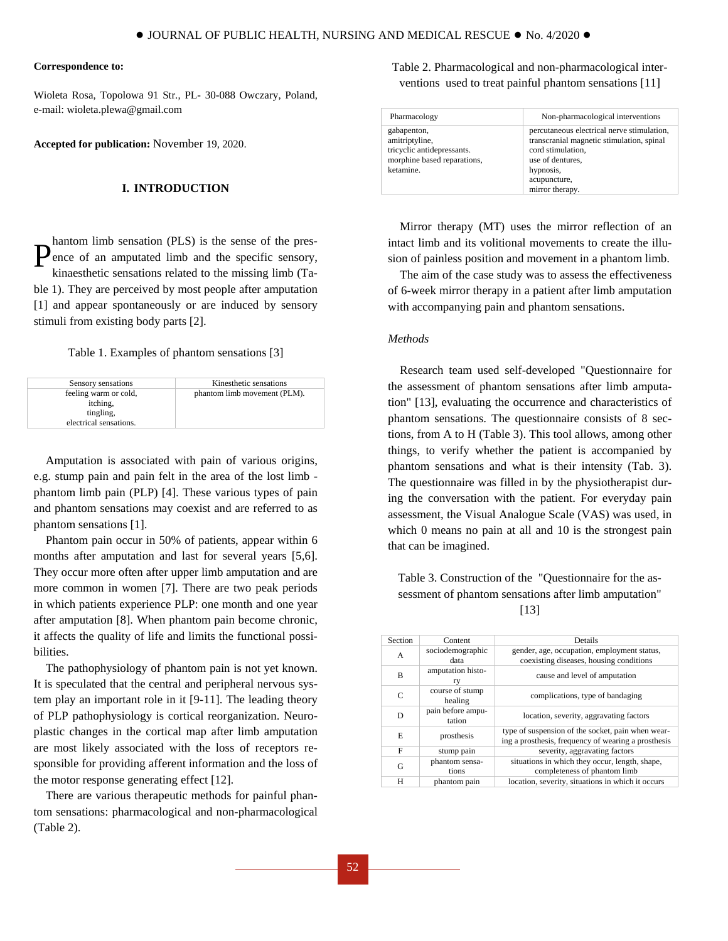#### **Correspondence to:**

Wioleta Rosa, Topolowa 91 Str., PL- 30-088 Owczary, Poland, e-mail: wioleta.plewa@gmail.com

**Accepted for publication:** November 19, 2020.

## **I. INTRODUCTION**

hantom limb sensation (PLS) is the sense of the presence of an amputated limb and the specific sensory, kinaesthetic sensations related to the missing limb (Table 1). They are perceived by most people after amputation [1] and appear spontaneously or are induced by sensory stimuli from existing body parts [2]. P

#### Table 1. Examples of phantom sensations [3]

| Sensory sensations                                                       | Kinesthetic sensations       |
|--------------------------------------------------------------------------|------------------------------|
| feeling warm or cold,<br>itching,<br>tingling.<br>electrical sensations. | phantom limb movement (PLM). |
|                                                                          |                              |

Amputation is associated with pain of various origins, e.g. stump pain and pain felt in the area of the lost limb phantom limb pain (PLP) [4]. These various types of pain and phantom sensations may coexist and are referred to as phantom sensations [1].

Phantom pain occur in 50% of patients, appear within 6 months after amputation and last for several years [5,6]. They occur more often after upper limb amputation and are more common in women [7]. There are two peak periods in which patients experience PLP: one month and one year after amputation [8]. When phantom pain become chronic, it affects the quality of life and limits the functional possibilities.

The pathophysiology of phantom pain is not yet known. It is speculated that the central and peripheral nervous system play an important role in it [9-11]. The leading theory of PLP pathophysiology is cortical reorganization. Neuroplastic changes in the cortical map after limb amputation are most likely associated with the loss of receptors responsible for providing afferent information and the loss of the motor response generating effect [12].

There are various therapeutic methods for painful phantom sensations: pharmacological and non-pharmacological (Table 2).

Table 2. Pharmacological and non-pharmacological interventions used to treat painful phantom sensations [11]

| Pharmacology                                                                                            | Non-pharmacological interventions                                                                                                                                                |
|---------------------------------------------------------------------------------------------------------|----------------------------------------------------------------------------------------------------------------------------------------------------------------------------------|
| gabapenton,<br>amitriptyline,<br>tricyclic antidepressants.<br>morphine based reparations,<br>ketamine. | percutaneous electrical nerve stimulation,<br>transcranial magnetic stimulation, spinal<br>cord stimulation.<br>use of dentures,<br>hypnosis,<br>acupuncture,<br>mirror therapy. |

Mirror therapy (MT) uses the mirror reflection of an intact limb and its volitional movements to create the illusion of painless position and movement in a phantom limb.

The aim of the case study was to assess the effectiveness of 6-week mirror therapy in a patient after limb amputation with accompanying pain and phantom sensations.

#### *Methods*

Research team used self-developed "Questionnaire for the assessment of phantom sensations after limb amputation" [13], evaluating the occurrence and characteristics of phantom sensations. The questionnaire consists of 8 sections, from A to H (Table 3). This tool allows, among other things, to verify whether the patient is accompanied by phantom sensations and what is their intensity (Tab. 3). The questionnaire was filled in by the physiotherapist during the conversation with the patient. For everyday pain assessment, the Visual Analogue Scale (VAS) was used, in which 0 means no pain at all and 10 is the strongest pain that can be imagined.

Table 3. Construction of the "Questionnaire for the assessment of phantom sensations after limb amputation"

|  | I<br>٠<br>× |
|--|-------------|
|--|-------------|

| Section | Content                     | Details                                                                                                  |
|---------|-----------------------------|----------------------------------------------------------------------------------------------------------|
| A       | sociodemographic<br>data    | gender, age, occupation, employment status,<br>coexisting diseases, housing conditions                   |
| B       | amputation histo-<br>ry     | cause and level of amputation                                                                            |
| C       | course of stump<br>healing  | complications, type of bandaging                                                                         |
| D       | pain before ampu-<br>tation | location, severity, aggravating factors                                                                  |
| E       | prosthesis                  | type of suspension of the socket, pain when wear-<br>ing a prosthesis, frequency of wearing a prosthesis |
| F       | stump pain                  | severity, aggravating factors                                                                            |
| G       | phantom sensa-<br>tions     | situations in which they occur, length, shape,<br>completeness of phantom limb                           |
| H       | phantom pain                | location, severity, situations in which it occurs                                                        |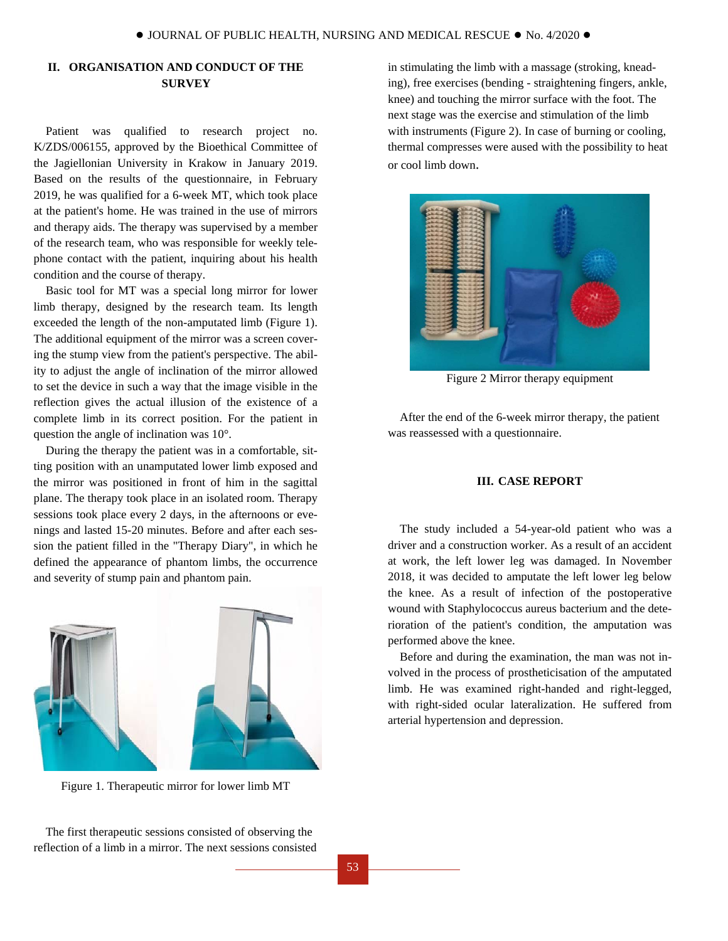## **II. ORGANISATION AND CONDUCT OF THE SURVEY**

Patient was qualified to research project no. K/ZDS/006155, approved by the Bioethical Committee of the Jagiellonian University in Krakow in January 2019. Based on the results of the questionnaire, in February 2019, he was qualified for a 6-week MT, which took place at the patient's home. He was trained in the use of mirrors and therapy aids. The therapy was supervised by a member of the research team, who was responsible for weekly telephone contact with the patient, inquiring about his health condition and the course of therapy.

Basic tool for MT was a special long mirror for lower limb therapy, designed by the research team. Its length exceeded the length of the non-amputated limb (Figure 1). The additional equipment of the mirror was a screen covering the stump view from the patient's perspective. The ability to adjust the angle of inclination of the mirror allowed to set the device in such a way that the image visible in the reflection gives the actual illusion of the existence of a complete limb in its correct position. For the patient in question the angle of inclination was 10°.

During the therapy the patient was in a comfortable, sitting position with an unamputated lower limb exposed and the mirror was positioned in front of him in the sagittal plane. The therapy took place in an isolated room. Therapy sessions took place every 2 days, in the afternoons or evenings and lasted 15-20 minutes. Before and after each session the patient filled in the "Therapy Diary", in which he defined the appearance of phantom limbs, the occurrence and severity of stump pain and phantom pain.



Figure 1. Therapeutic mirror for lower limb MT

The first therapeutic sessions consisted of observing the reflection of a limb in a mirror. The next sessions consisted in stimulating the limb with a massage (stroking, kneading), free exercises (bending - straightening fingers, ankle, knee) and touching the mirror surface with the foot. The next stage was the exercise and stimulation of the limb with instruments (Figure 2). In case of burning or cooling, thermal compresses were aused with the possibility to heat or cool limb down.



Figure 2 Mirror therapy equipment

After the end of the 6-week mirror therapy, the patient was reassessed with a questionnaire.

## **III. CASE REPORT**

The study included a 54-year-old patient who was a driver and a construction worker. As a result of an accident at work, the left lower leg was damaged. In November 2018, it was decided to amputate the left lower leg below the knee. As a result of infection of the postoperative wound with Staphylococcus aureus bacterium and the deterioration of the patient's condition, the amputation was performed above the knee.

Before and during the examination, the man was not involved in the process of prostheticisation of the amputated limb. He was examined right-handed and right-legged, with right-sided ocular lateralization. He suffered from arterial hypertension and depression.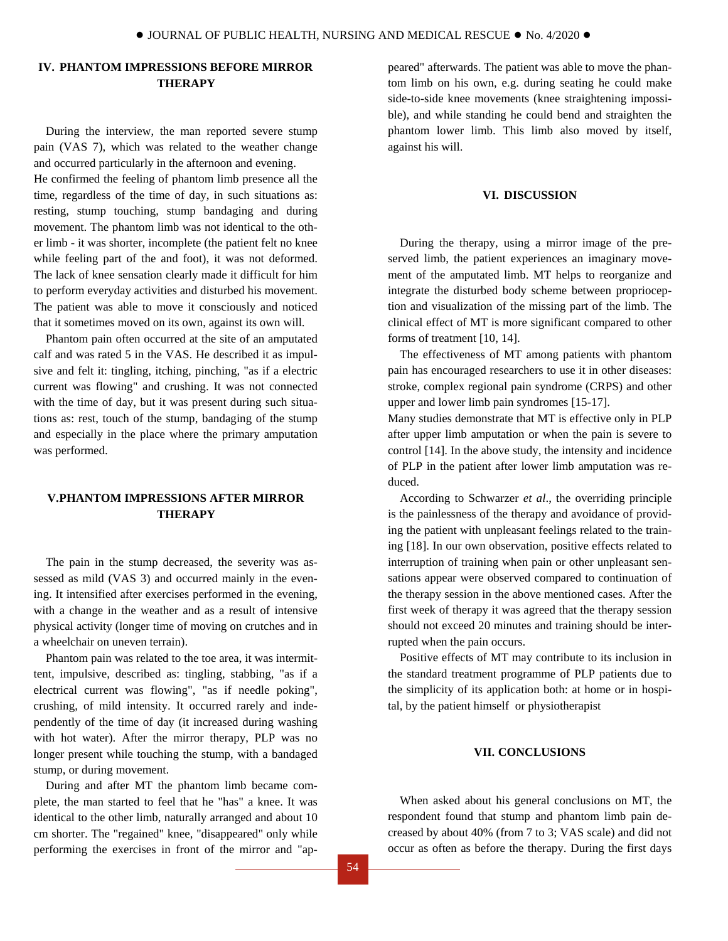## **IV. PHANTOM IMPRESSIONS BEFORE MIRROR THERAPY**

During the interview, the man reported severe stump pain (VAS 7), which was related to the weather change and occurred particularly in the afternoon and evening. He confirmed the feeling of phantom limb presence all the time, regardless of the time of day, in such situations as: resting, stump touching, stump bandaging and during movement. The phantom limb was not identical to the other limb - it was shorter, incomplete (the patient felt no knee while feeling part of the and foot), it was not deformed. The lack of knee sensation clearly made it difficult for him to perform everyday activities and disturbed his movement. The patient was able to move it consciously and noticed that it sometimes moved on its own, against its own will.

Phantom pain often occurred at the site of an amputated calf and was rated 5 in the VAS. He described it as impulsive and felt it: tingling, itching, pinching, "as if a electric current was flowing" and crushing. It was not connected with the time of day, but it was present during such situations as: rest, touch of the stump, bandaging of the stump and especially in the place where the primary amputation was performed.

## **V.PHANTOM IMPRESSIONS AFTER MIRROR THERAPY**

The pain in the stump decreased, the severity was assessed as mild (VAS 3) and occurred mainly in the evening. It intensified after exercises performed in the evening, with a change in the weather and as a result of intensive physical activity (longer time of moving on crutches and in a wheelchair on uneven terrain).

Phantom pain was related to the toe area, it was intermittent, impulsive, described as: tingling, stabbing, "as if a electrical current was flowing", "as if needle poking", crushing, of mild intensity. It occurred rarely and independently of the time of day (it increased during washing with hot water). After the mirror therapy, PLP was no longer present while touching the stump, with a bandaged stump, or during movement.

During and after MT the phantom limb became complete, the man started to feel that he "has" a knee. It was identical to the other limb, naturally arranged and about 10 cm shorter. The "regained" knee, "disappeared" only while performing the exercises in front of the mirror and "appeared" afterwards. The patient was able to move the phantom limb on his own, e.g. during seating he could make side-to-side knee movements (knee straightening impossible), and while standing he could bend and straighten the phantom lower limb. This limb also moved by itself, against his will.

## **VI. DISCUSSION**

During the therapy, using a mirror image of the preserved limb, the patient experiences an imaginary movement of the amputated limb. MT helps to reorganize and integrate the disturbed body scheme between proprioception and visualization of the missing part of the limb. The clinical effect of MT is more significant compared to other forms of treatment [10, 14].

The effectiveness of MT among patients with phantom pain has encouraged researchers to use it in other diseases: stroke, complex regional pain syndrome (CRPS) and other upper and lower limb pain syndromes [15-17].

Many studies demonstrate that MT is effective only in PLP after upper limb amputation or when the pain is severe to control [14]. In the above study, the intensity and incidence of PLP in the patient after lower limb amputation was reduced.

According to Schwarzer *et al*., the overriding principle is the painlessness of the therapy and avoidance of providing the patient with unpleasant feelings related to the training [18]. In our own observation, positive effects related to interruption of training when pain or other unpleasant sensations appear were observed compared to continuation of the therapy session in the above mentioned cases. After the first week of therapy it was agreed that the therapy session should not exceed 20 minutes and training should be interrupted when the pain occurs.

Positive effects of MT may contribute to its inclusion in the standard treatment programme of PLP patients due to the simplicity of its application both: at home or in hospital, by the patient himself or physiotherapist

### **VII. CONCLUSIONS**

When asked about his general conclusions on MT, the respondent found that stump and phantom limb pain decreased by about 40% (from 7 to 3; VAS scale) and did not occur as often as before the therapy. During the first days